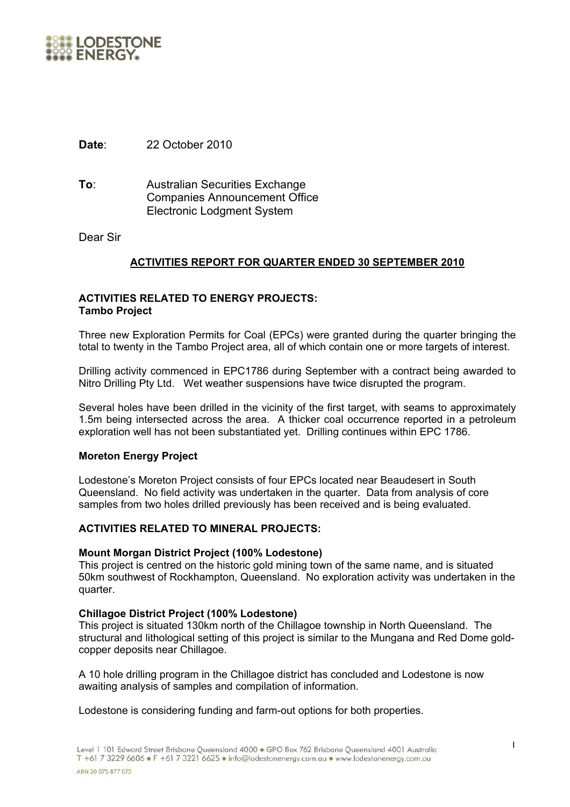

**Date**: 22 October 2010

**To**: Australian Securities Exchange Companies Announcement Office Electronic Lodgment System

Dear Sir

# **ACTIVITIES REPORT FOR QUARTER ENDED 30 SEPTEMBER 2010**

## **ACTIVITIES RELATED TO ENERGY PROJECTS: Tambo Project**

Three new Exploration Permits for Coal (EPCs) were granted during the quarter bringing the total to twenty in the Tambo Project area, all of which contain one or more targets of interest.

Drilling activity commenced in EPC1786 during September with a contract being awarded to Nitro Drilling Pty Ltd. Wet weather suspensions have twice disrupted the program.

Several holes have been drilled in the vicinity of the first target, with seams to approximately 1.5m being intersected across the area. A thicker coal occurrence reported in a petroleum exploration well has not been substantiated yet. Drilling continues within EPC 1786.

### **Moreton Energy Project**

Lodestone's Moreton Project consists of four EPCs located near Beaudesert in South Queensland. No field activity was undertaken in the quarter. Data from analysis of core samples from two holes drilled previously has been received and is being evaluated.

### **ACTIVITIES RELATED TO MINERAL PROJECTS:**

#### **Mount Morgan District Project (100% Lodestone)**

This project is centred on the historic gold mining town of the same name, and is situated 50km southwest of Rockhampton, Queensland. No exploration activity was undertaken in the quarter.

#### **Chillagoe District Project (100% Lodestone)**

This project is situated 130km north of the Chillagoe township in North Queensland. The structural and lithological setting of this project is similar to the Mungana and Red Dome goldcopper deposits near Chillagoe.

A 10 hole drilling program in the Chillagoe district has concluded and Lodestone is now awaiting analysis of samples and compilation of information.

Lodestone is considering funding and farm-out options for both properties.